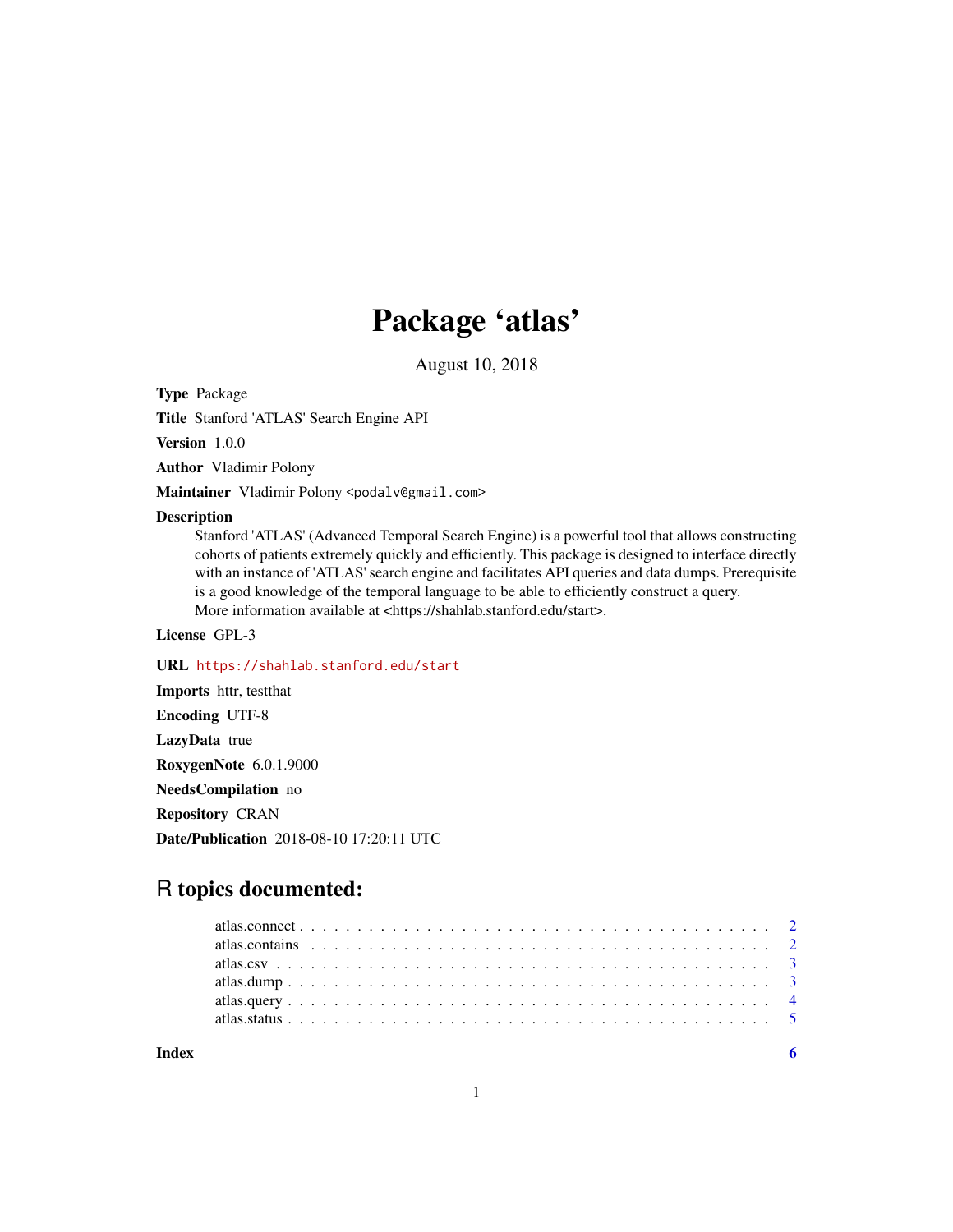## Package 'atlas'

August 10, 2018

Type Package

Title Stanford 'ATLAS' Search Engine API

Version 1.0.0

Author Vladimir Polony

Maintainer Vladimir Polony <podalv@gmail.com>

#### Description

Stanford 'ATLAS' (Advanced Temporal Search Engine) is a powerful tool that allows constructing cohorts of patients extremely quickly and efficiently. This package is designed to interface directly with an instance of 'ATLAS' search engine and facilitates API queries and data dumps. Prerequisite is a good knowledge of the temporal language to be able to efficiently construct a query. More information available at <https://shahlab.stanford.edu/start>.

#### License GPL-3

URL <https://shahlab.stanford.edu/start>

Imports httr, testthat

Encoding UTF-8

LazyData true

RoxygenNote 6.0.1.9000

NeedsCompilation no

Repository CRAN

Date/Publication 2018-08-10 17:20:11 UTC

### R topics documented:

**Index** [6](#page-5-0) **6**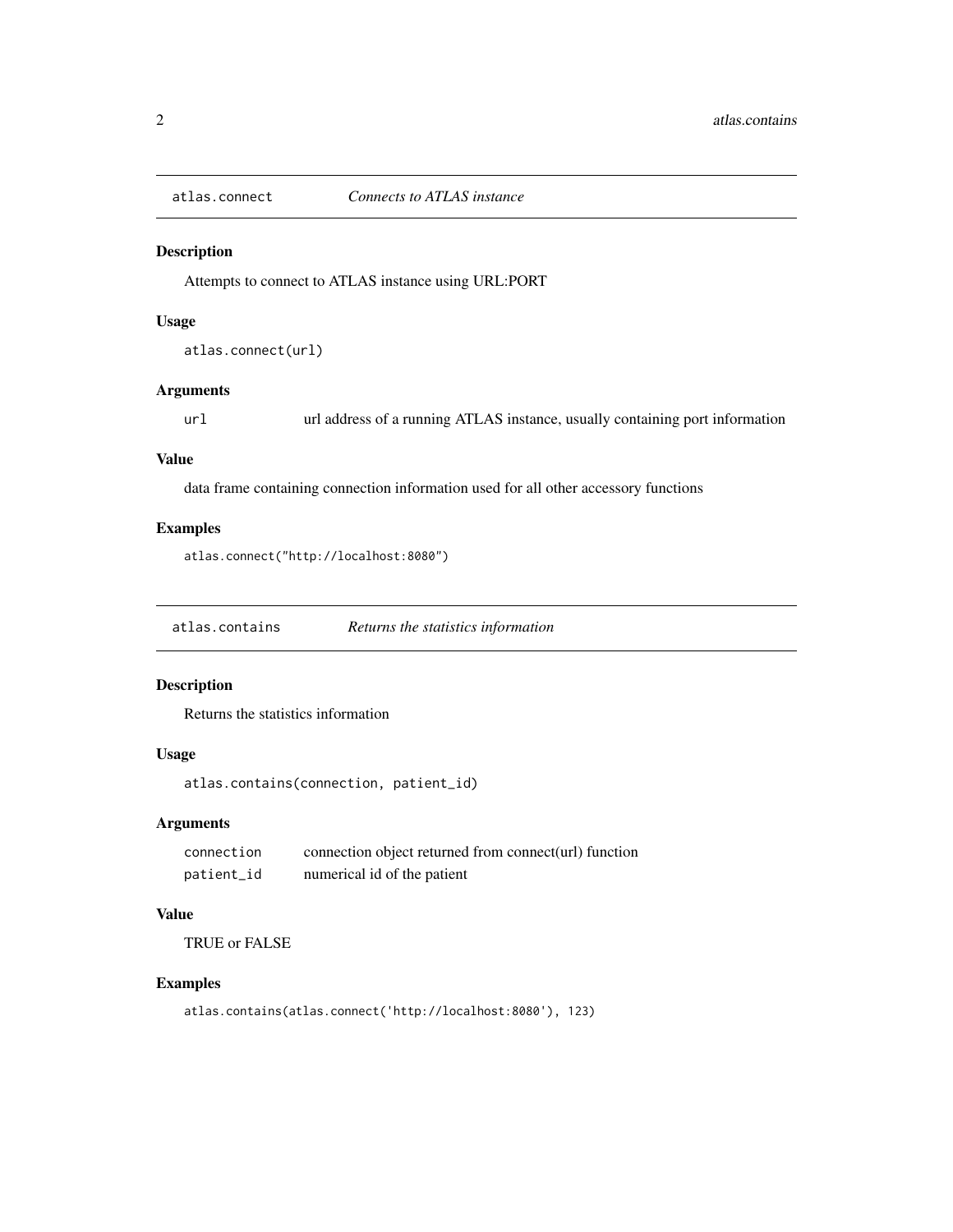<span id="page-1-0"></span>

#### Description

Attempts to connect to ATLAS instance using URL:PORT

#### Usage

```
atlas.connect(url)
```
#### Arguments

url url address of a running ATLAS instance, usually containing port information

#### Value

data frame containing connection information used for all other accessory functions

#### Examples

```
atlas.connect("http://localhost:8080")
```
atlas.contains *Returns the statistics information*

#### Description

Returns the statistics information

#### Usage

```
atlas.contains(connection, patient_id)
```
#### Arguments

| connection | connection object returned from connect (url) function |
|------------|--------------------------------------------------------|
| patient_id | numerical id of the patient                            |

#### Value

TRUE or FALSE

#### Examples

```
atlas.contains(atlas.connect('http://localhost:8080'), 123)
```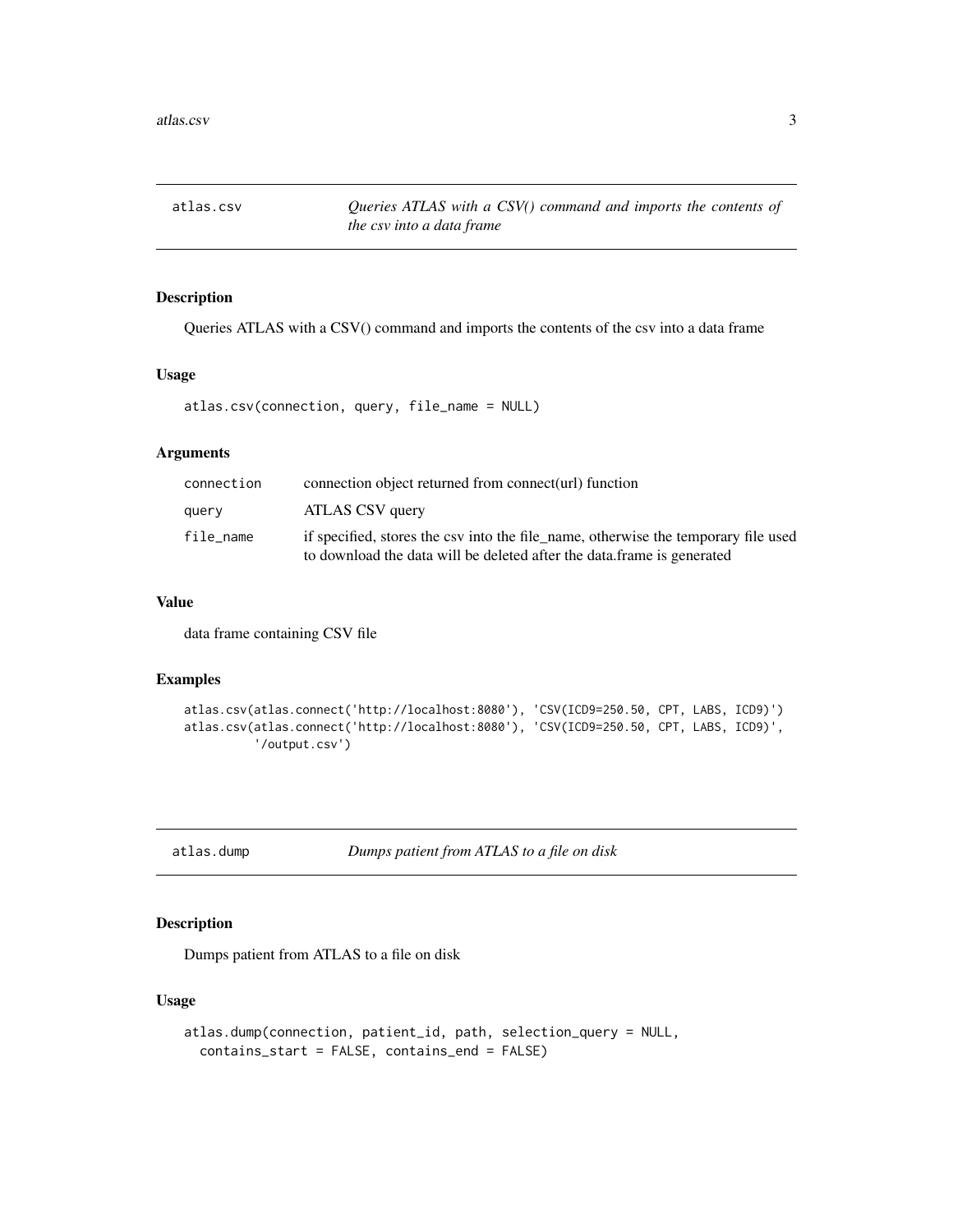<span id="page-2-0"></span>atlas.csv *Queries ATLAS with a CSV() command and imports the contents of the csv into a data frame*

#### Description

Queries ATLAS with a CSV() command and imports the contents of the csv into a data frame

#### Usage

```
atlas.csv(connection, query, file_name = NULL)
```
#### Arguments

| connection | connection object returned from connect (url) function                                                                                                        |
|------------|---------------------------------------------------------------------------------------------------------------------------------------------------------------|
| query      | ATLAS CSV query                                                                                                                                               |
| file_name  | if specified, stores the csv into the file_name, otherwise the temporary file used<br>to download the data will be deleted after the data. frame is generated |

#### Value

data frame containing CSV file

#### Examples

```
atlas.csv(atlas.connect('http://localhost:8080'), 'CSV(ICD9=250.50, CPT, LABS, ICD9)')
atlas.csv(atlas.connect('http://localhost:8080'), 'CSV(ICD9=250.50, CPT, LABS, ICD9)',
          '/output.csv')
```
atlas.dump *Dumps patient from ATLAS to a file on disk*

#### Description

Dumps patient from ATLAS to a file on disk

#### Usage

```
atlas.dump(connection, patient_id, path, selection_query = NULL,
  contains_start = FALSE, contains_end = FALSE)
```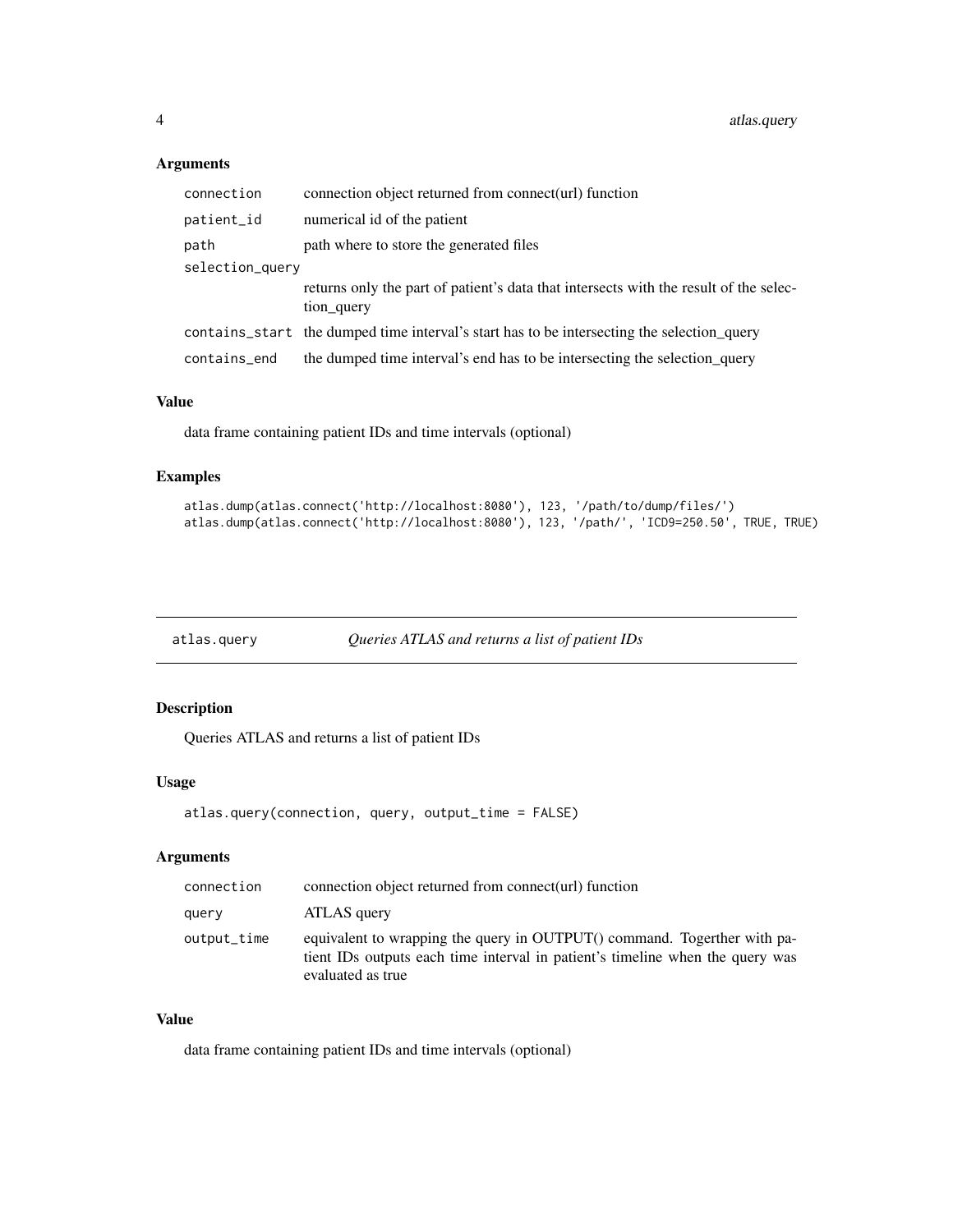#### <span id="page-3-0"></span>Arguments

| connection      | connection object returned from connect (url) function                                              |
|-----------------|-----------------------------------------------------------------------------------------------------|
| patient_id      | numerical id of the patient                                                                         |
| path            | path where to store the generated files                                                             |
| selection_query |                                                                                                     |
|                 | returns only the part of patient's data that intersects with the result of the selec-<br>tion query |
|                 | contains_start the dumped time interval's start has to be intersecting the selection_query          |
| contains_end    | the dumped time interval's end has to be intersecting the selection_query                           |

#### Value

data frame containing patient IDs and time intervals (optional)

#### Examples

```
atlas.dump(atlas.connect('http://localhost:8080'), 123, '/path/to/dump/files/')
atlas.dump(atlas.connect('http://localhost:8080'), 123, '/path/', 'ICD9=250.50', TRUE, TRUE)
```
atlas.query *Queries ATLAS and returns a list of patient IDs*

#### Description

Queries ATLAS and returns a list of patient IDs

#### Usage

```
atlas.query(connection, query, output_time = FALSE)
```
#### Arguments

| connection  | connection object returned from connect (url) function                                                                                                                         |
|-------------|--------------------------------------------------------------------------------------------------------------------------------------------------------------------------------|
| query       | ATLAS query                                                                                                                                                                    |
| output_time | equivalent to wrapping the query in OUTPUT() command. Togerther with pa-<br>tient IDs outputs each time interval in patient's timeline when the query was<br>evaluated as true |

#### Value

data frame containing patient IDs and time intervals (optional)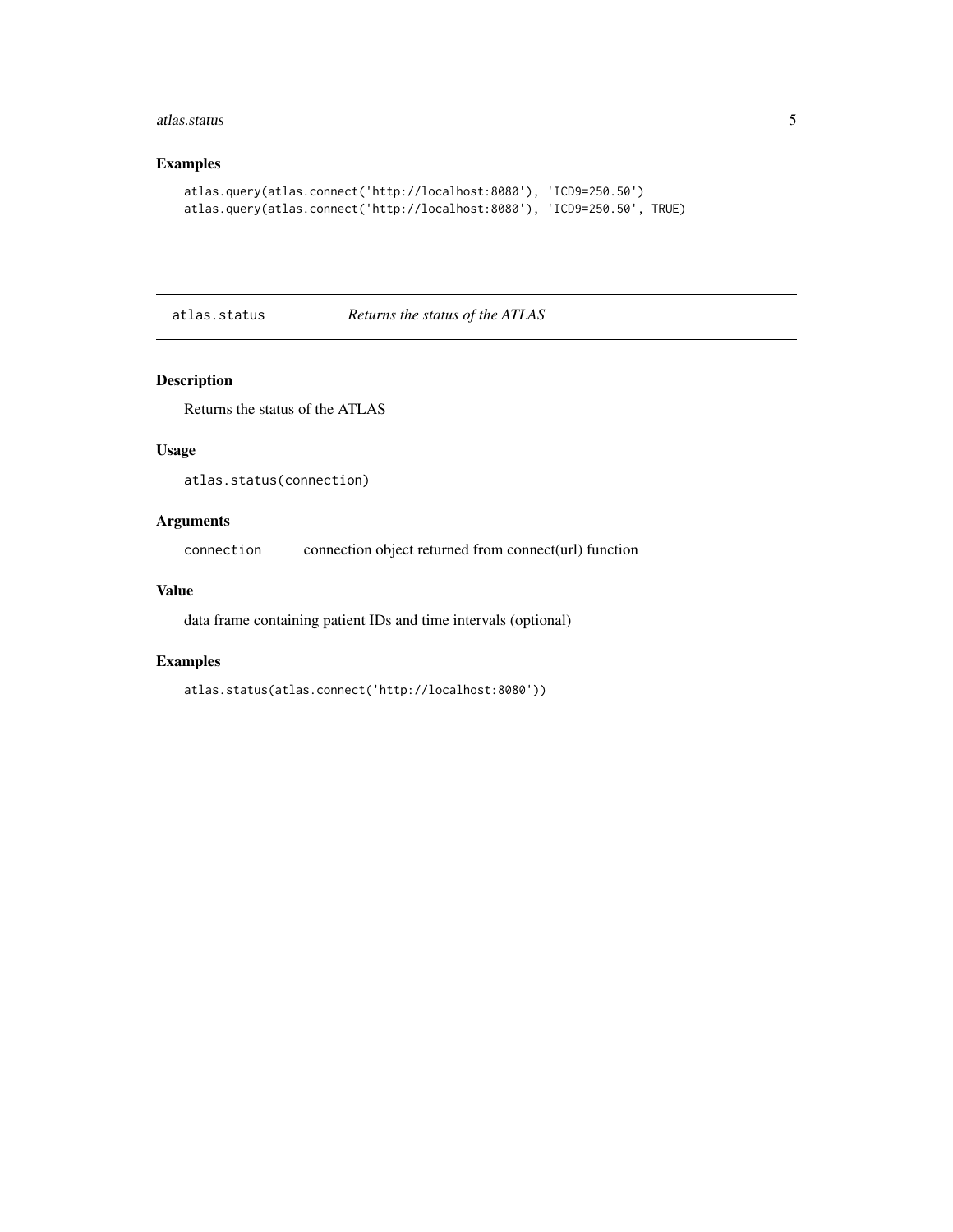#### <span id="page-4-0"></span>atlas.status 5

#### Examples

```
atlas.query(atlas.connect('http://localhost:8080'), 'ICD9=250.50')
atlas.query(atlas.connect('http://localhost:8080'), 'ICD9=250.50', TRUE)
```
atlas.status *Returns the status of the ATLAS*

#### Description

Returns the status of the ATLAS

#### Usage

```
atlas.status(connection)
```
#### Arguments

connection connection object returned from connect(url) function

#### Value

data frame containing patient IDs and time intervals (optional)

#### Examples

```
atlas.status(atlas.connect('http://localhost:8080'))
```